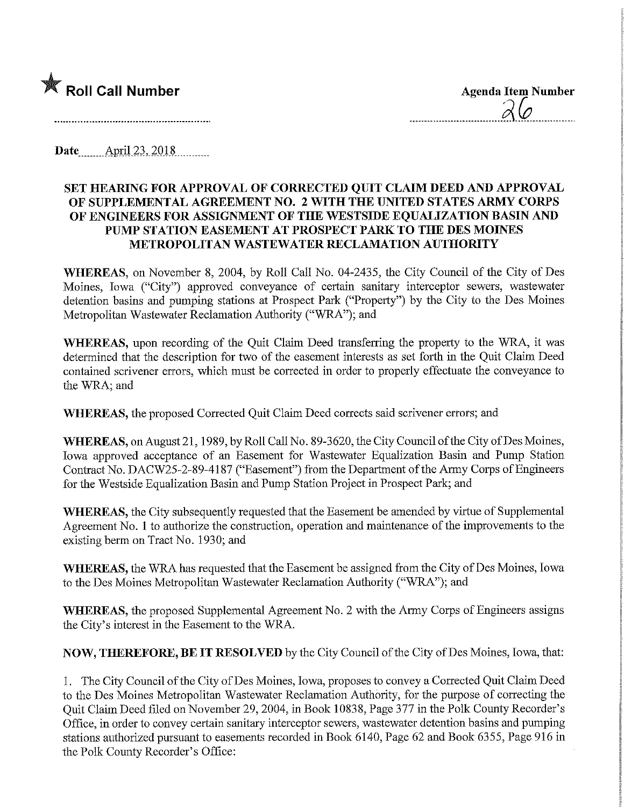

**EX** Roll Call Number Agenda Item Number

**Date** April 23, 2018.

## SET HEARING FOR APPROVAL OF CORRECTED QUIT CLAIM DEED AND APPROVAL OF SUPPLEMENTAL AGREEMENT NO. 2 WITH THE UNITED STATES ARMY CORPS OF ENGINEERS FOR ASSIGNMENT OF THE WESTSIDE EQUALIZATION BASIN AND PUMP STATION EASEMENT AT PROSPECT PARK TO THE DES MOINES METROPOLITAN WASTEWATER RECLAMATION AUTHORITY

WHEREAS, on November 8, 2004, by Roll Call No. 04-2435, the City Council of the City of Des Moines, Iowa ("City") approved conveyance of certain sanitary interceptor sewers, wastewater detention basins and pumping stations at Prospect Park ("Property") by the City to the Des Moines Metropolitan Wastewater Reclamation Authority ("WRA"); and

WHEREAS, upon recording of the Quit Claim Deed transferring the property to the WRA, it was determined that the description for two of the easement interests as set forth m the Quit Claim Deed contained scrivener errors, which must be corrected in order to properly effectuate the conveyance to the WRA; and

WHEREAS, the proposed Corrected Quit Claim Deed corrects said scrivener errors; and

WHEREAS, on August 21, 1989, by Roll Call No. 89-3620, the City Council of the City of Des Moines, Iowa approved acceptance of an Easement for Wastewater Equalization Basin and Pump Station Contract No. DACW25-2-89-4187 ("Easement") from the Department of the Army Corps of Engineers for the Westside Equalization Basin and Pump Station Project in Prospect Park; and

WHEREAS, the City subsequently requested that the Easement be amended by virtue of Supplemental Agreement No. 1 to authorize the construction, operation and maintenance of the improvements to the existing berm on Tract No. 1930; and

WHEREAS, the WRA has requested that the Easement be assigned from the City of Des Moines, Iowa to the Des Moines Metropolitan Wastewater Reclamation Authority ("WRA"); and

WHEREAS, the proposed Supplemental Agreement No. 2 with the Army Corps of Engineers assigns the City's interest in the Easement to the WRA.

NOW, THEREFORE, BE IT RESOLVED by the City Council of the City of Des Moines, Iowa, that:

1. The City Council of the City of Des Moines, Iowa, proposes to convey a Corrected Quit Claim Deed to the Des Moines Metropolitan Wastewater Reclamation Authority, for the purpose of correcting the Quit Claim Deed filed on November 29, 2004, in Book 10838, Page 377 m the Polk County Recorder's Office, in order to convey certain sanitary interceptor sewers, wastewater detention basins and pumping stations authorized pursuant to easements recorded m Book 6140, Page 62 and Book 6355, Page 916 in the Polk County Recorder's Office: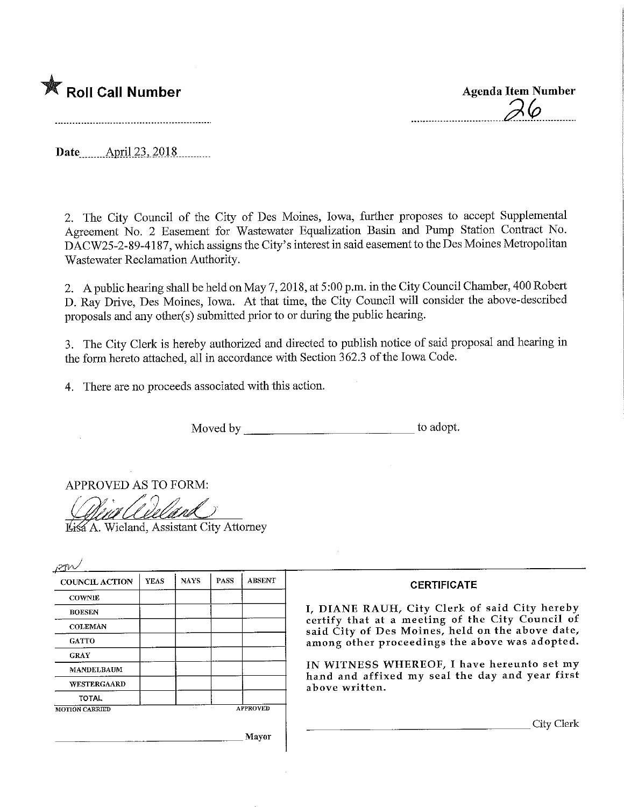

Date April 23, 2018

2. The City Council of the City of Des Momes, Iowa, further proposes to accept Supplemental Agreement No. 2 Easement for Wastewater Equalization Basin and Pump Station Contract No. DACW25-2-89-4187, which assigns the City's interest in said easement to the Des Moines Metropolitan Wastewater Reclamation Authority.

2. A public hearing shall be held on May 7, 2018, at 5:00 p.m. in the City Council Chamber, 400 Robert D. Ray Drive, Des Moines, Iowa. At that time, the City Council will consider the above-described proposals and any other(s) submitted prior to or during the public hearing.

3. The City Clerk is hereby authorized and directed to publish notice of said proposal and hearing in the form hereto attached, all in accordance with Section 362.3 of the Iowa Code.

4. There are no proceeds associated with this action.

Moved by to adopt.

APPROVED AS TO FORM:

I^t^fA. Wieland, Assistant City Attorney

| <b>COUNCIL ACTION</b> | <b>YEAS</b> | <b>NAYS</b>          | <b>PASS</b>                  | <b>ABSENT</b> |
|-----------------------|-------------|----------------------|------------------------------|---------------|
| <b>COWNIE</b>         |             |                      |                              |               |
| <b>BOESEN</b>         |             |                      |                              |               |
| <b>COLEMAN</b>        |             |                      |                              |               |
| <b>GATTO</b>          |             |                      |                              |               |
| <b>GRAY</b>           |             |                      |                              |               |
| MANDELBAUM            |             |                      |                              |               |
| <b>WESTERGAARD</b>    |             |                      |                              |               |
| <b>TOTAL</b>          |             |                      |                              |               |
| <b>MOTION CARRIED</b> |             | $\ddot{\phantom{0}}$ | <b>APPROVED</b><br>$\ddotsc$ |               |

## **CERTIFICATE**

I, DIANE RAUH, City Clerk of said City hereby certify that at a meeting of the City Council of said City of Des Moines, held on the above date, among other proceedings the above was adopted.

IN WITNESS WHEREOF, I have hereunto set my hand and affixed my seal the day and year first above written.

. City Clerk